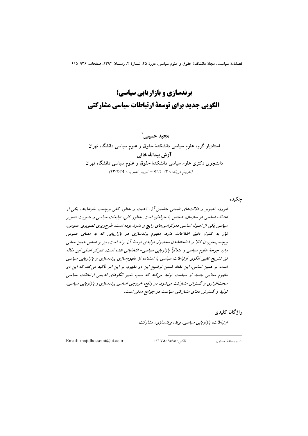# برندسازی و بازاریابی سیاسی؛ الگویی جدید برای توسعهٔ ارتباطات سیاسی مشارکتی

محید حسنے ` استادیار گروه علوم سیاسی دانشکدهٔ حقوق و علوم سیاسی دانشگاه تهران آرش بيداللهخاني دانشجوی دکتری علوم سیاسی دانشکدهٔ حقوق و علوم سیاسی دانشگاه تهران (تاريخ دريافت: ١/١١/٢ - تاريخ تصويب: ٩٣/٢/٢٩)

جكيده

امروزه تصویر و دلالتهای ضمنی متضمن آن، ذهنیت و بهطور کلی برجسب خوشایند، یکی از اهداف اساسی هر سازمان، شخص یا حرفهای است. بهطور کلی، تبلیغات سیاسی و مدیریت تصویر سیاسی یکی از اصول اساسی دموکراسی های رایج و مدرن بوده است. طرح ریزی تصویری عمومی، نیاز به کنترل دقیق اطلاعات دارد. مفهوم برندسازی در بازاریابی که به معنای عمومی برچسبخوردن کالا و شناختهشدن محصول تولیدی توسط آن برند است، نیز بر اساس همین معانی وارد چرخهٔ علوم سیاسی و متعاقباً بازاریابی سیاسی- انتخاباتی شده است. تمرکز اصلی این مقاله نیز تشریح تغییر الگوی ارتباطات سیاسی با استفاده از مفهومسازی برندسازی و بازاریابی سیاسی است. بر همین اساس، این مقاله ضمن توضیح این دو مفهوم، بر این امر تأکید میکند که این دو مفھوم معنایی جدید از سیاست تولید میکند که سبب تغییر الگوهای قدیمی ارتباطات سیاسی سخت!فزاری و گسترش مشارکت می شود. در واقع، خروجی اساسی برندسازی و بازاریابی سیاسی، تولید و گسترش معنای مشارکتی سیاست در جوامع مدنی است.

واژگان کلیدی

ارتباطات، بازاریابی سیاسی، برند، برندسازی، مشارکت.

Email: majidhosseini@ut.ac.ir

فاكس: ١٩٥٩٥٩٥٩٠:

١. نويسندهٔ مسئول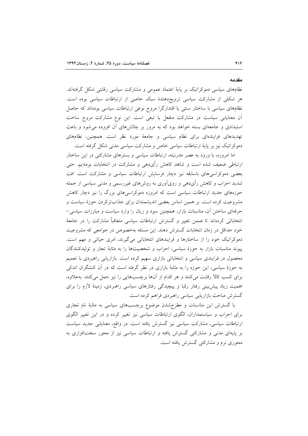نظامهای سیاسی دموکراتیک بر پایهٔ اعتماد عمومی و مشارکت سیاسی رقابتی شکل گرفتهاند. هر شکلی از مشارکت سیاسی ترویجدهندهٔ سبک خاصی از ارتباطات سیاسی بوده است. نظامهای سیاسی با ساختار سنتی یا اقتدارگرا مروج نوعی ارتباطات سیاسی بودهاند که حاصل آن معنایابی سیاست در مشارکت منفعل یا تبعی است. این نوع مشارکت مروج ساخت استبدادی و جامعهای بسته خواهد بود که به مرور بر چالشهای آن افزوده میشود و باعث تهدیدهای فزایندهای برای نظام سیاسی و جامعهٔ مورد نظر است. همچنین، نظامهای دموکراتیک نیز بر پایهٔ ارتباطات سیاسی خاص و مشارکت سیاسی مدنی شکل گرفته است.

اما امروزه، با ورود به عصر مدرنیته، ارتباطات سیاسی و بسترهای مشارکتی در این ساختار ارتباطی ضعیف شده است و شاهد کاهش رأیدهی و مشارکت در انتخابات بودهایم. حتی بعضی دموکراسی های باسابقه نیز دچار فرسایش ارتباطات سیاسی و مشارکت است. افت شدید احزاب و کاهش رأیدهی و رویآوری به روشهای غیررسمی و مدنی سیاسی از جمله حوزههای جدید ارتباطات سیاسی است که امروزه دموکراسی های بزرگ را نیز دچار کاهش مشروعیت کرده است. بر همین اساس بعضی اندیشمندان برای جذابترکردن حوزهٔ سیاست و حرفهای ساختن آن، مناسبات بازار، همچنین سود و زیان را وارد سیاست و مبارزات سیاسی– انتخاباتی کردهاند تا ضمن تغییر و گسترش ارتباطات سیاسی متعاقباً مشارکت را در جامعهٔ خود حداقل در زمان انتخابات گسترش دهند. این مسئله بهخصوص در جوامعی که مشروعیت دموکراتیک خود را از ساختارها و فرایندهای انتخاباتی میگیرند، امری حیاتی و مهم است. پیوند مناسبات بازار به حوزهٔ سیاسی، احزاب و شخصیتها را به مثابهٔ تجار و تولیدکنندگان محصول در فرایندی سیاسی و انتخاباتی بازاری سهیم کرده است. بازاریابی راهبردی با تعمیم به حوزهٔ سیاسی، این حوزه را به مثابهٔ بازاری در نظر گرفته است که در آن کنشگران اندکی برای کسب کالا رقابت میکنند و هر کدام از آنها برچسبهایی را نیز حمل میکنند. بهعلاوه، اهمیت زیاد پیش بینی رفتار رقبا و پیچیدگی رفتارهای سیاسی راهبردی، زمینهٔ لازم را برای گسترش مباحث بازاريابي سياسي راهبردي فراهم كرده است.

با گسترش این مناسبات و مطرحشدن موضوع برچسبهای سیاسی به مثابهٔ نام تجاری برای احزاب و سیاستمداران، الگوی ارتباطات سیاسی نیز تغییر کرده و در این تغییر الگوی ارتباطات سیاسی، مشارکت سیاسی نیز گسترش یافته است. در واقع، معنایابی جدید سیاست بر پایهای مدنی و مشارکتی گسترش یافته و ارتباطات سیاسی نیز از محور سختافزاری به محوری نرم و مشارکتی گسترش یافته است.

مقدمه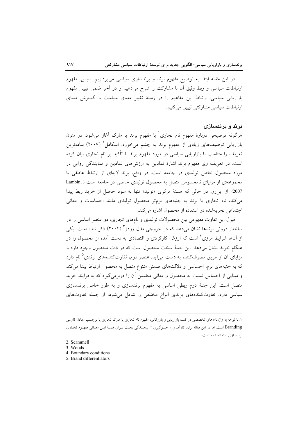در این مقاله ابتدا به توضیح مفهوم برند و برندسازی سیاسی میپردازیم. سپس، مفهوم ارتباطات سیاسی و ربط وثیق أن با مشارکت را شرح میدهیم و در آخر ضمن تبیین مفهوم بازاریابی سیاسی، ارتباط این مفاهیم را در زمینهٔ تغییر معنای سیاست و گسترش معنای ار تباطات سیاسی مشارکتی تبیین میکنیم.

### برند و برندسازی

هرگونه توضیحی دربارهٔ مفهوم نام تجاری<sup>۱</sup> با مفهوم برند یا مارک آغاز میشود. در متون بازاریابی توصیفهای زیادی از مفهوم برند به چشم میخورد. اسکامل<sup>۲</sup> (۲۰۰۷) سادهترین تعریف را متناسب با بازاریابی سیاسی در مورد مفهوم برند با تأکید بر نام تجاری بیان کرده است. در تعریف وی مفهوم برند اشارهٔ نمادین به ارزشهای نمادین و نمایندگی روانی در مورد محصول خاص تولیدی در جامعه است. در واقع، برند لایهای از ارتباط عاطفی یا مجموعهای از مزایای نامحسوس متصل به محصول تولیدی خاصی در جامعه است ( Lambin, 2007). از این رو، در حالی که هستهٔ مرکزی «تولید» تنها به سود حاصل از خرید ربط پیدا می کند، نام تجاری یا برند به جنبههای نرمتر محصول تولیدی مانند احساسات و معانی اجتماعی تجربهشده در استفاده از محصول اشاره می کند.

قبول این تفاوت مفهومی بین محصولات تولیدی و نامهای تجاری، دو عنصر اساسی را در ساختار درونی برندها نشان میدهد که در خروجی مدل وودز<sup>۳</sup> (۲۰۰۴) ذکر شده است. یکی از آنها شرایط مرزی<sup>۲</sup> است که ارزش کارکردی و اقتصادی به دست آمده از محصول را در هنگام خرید نشان میدهد. این جنبهٔ سخت محصول است که در ذات محصول وجود دارد و مزایای آن از طریق مصرفکننده به دست میآید. عنصر دوم، تفاوتکنندههای برندی<sup>0</sup>نام دارد که به جنبههای نرم، احساسی و دلالتهای ضمنی متنوع متصل به محصول ارتباط پیدا میکند و مبنایی از احساس نسبت به محصول و معانی متضمن آن را دربرمی گیرد که به فرایند خرید متصل است. این جنبهٔ دوم ربطی اساسی به مفهوم برندسازی و به طور خاص برندسازی سیاسی دارد. تفاوتکنندههای برندی انواع مختلفی را شامل می شود، از جمله تفاوتهای

۱. با توجه به واژهنامههای تخصصی در کتب بازاریابی و بازرگانی، مفهوم نام تجاری یا مارک تجاری یا برچسب معادل فارسی Branding است. اما در این مقاله برای کارآمدی و جلـوگیری از پیچیـدگی بحـث بـرای هـمـهٔ ایـن معـانی مفهـوم تجـاری برندسازی استفاده شده است.

<sup>2.</sup> Scammell

<sup>3.</sup> Woods

<sup>4.</sup> Boundary conditions

<sup>5.</sup> Brand differentiators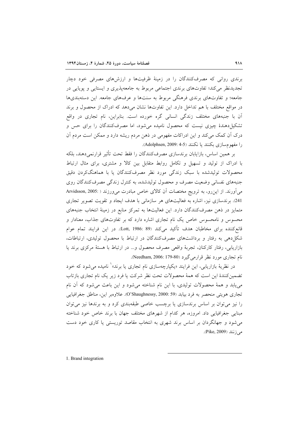برندی روانی که مصرفکنندگان را در زمینهٔ ظرفیتها و ارزشهای مصرفی خود دچار تجدیدنظر می کند؛ تفاوتهای برندی اجتماعی مربوط به جامعهپذیری و ایستایی و پویایی در جامعه؛ و تفاوتهای برندی فرهنگی مربوط به سنتها و عرفهای جامعه. این دستهبندیها در مواقع مختلف با هم تداخل دارد. این تفاوتها نشان میدهد که ادراک از محصول و برند آن با جنبههای مختلف زندگی انسانی گره خورده است. بنابراین، نام تجاری در واقع تشکیل دهندهٔ چیزی نیست که محصول نامیده میشود، اما مصرفکنندگان را برای حس و درک آن کمک می کند و این ادراکات مفهومی در ذهن مردم ریشه دارد و ممکن است مردم آن را مفهوم سازي بكنند يا نكنند (4-5 :Adolphsen, 2009).

بر همین اساس، بازایابان برندسازی مصرفکنندگان را فقط تحت تأثیر قرارنمی،دهند، بلکه با ادراک از تولید و تسهیل و تکامل روابط متقابل بین کالا و مشتری، برای مثال ارتباط محصولات تولیدشده با سبک زندگی مورد نظر مصرفکنندگان یا با هماهنگکردن دقیق جنبههای نفسانی وضعیت مصرف و محصول تولیدشده، به کنترل زندگی مصرفکنندگان روی میآورند. از این رو، به ترویج مختصات آن کالای خاص مبادرت می ورزند ( :Arvidsson, 2005 241). برندسازی نیز، اشاره به فعالیتهای هر سازمانی با هدف ایجاد و تقویت تصویر تجاری متمایز در ذهن مصرفکنندگان دارد. این فعالیتها به تمرکز منابع در زمینهٔ انتخاب جنبههای محسوس و نامحسوس خاص یک نام تجاری اشاره دارد که بر تفاوتهای جذاب، معنادار و قانع كننده براي مخاطبان هدف تأكيد ميكند (Lott, 1986: 89). در اين فرايند تمام عوام شکل دهی به رفتار و برداشتهای مصرفکنندگان در ارتباط با محصول تولیدی، ارتباطات، بازاريابي، رفتار كاركنان، تجربهٔ واقعي مصرف محصول و... در ارتباط با هستهٔ مركزي برند يا نام تجاري مورد نظر قرارمي گيرد (Needham, 2006: 179-80).

در نظریهٔ بازاریابی، این فرایند «یکپارچهسازی نام تجاری یا برند»<sup>۱</sup> نامیده می شود که خود تضمین کنندهٔ این است که همهٔ محصولات تحت نظر شرکت یا فرد زیر یک نام تجاری بازتاب می یابد و همهٔ محصولات تولیدی، با این نام شناخته میشود و این باعث میشود که آن نام تجاري هويتي منحصر به فرد بيابد (39 .2000 ,O'Shaughnessy). علاوهير اين، مناطق جغرافيايي را نیز می توان بر اساس برندسازی یا برچسب خاصی طبقهبندی کرد و به برندها نیز می توان مبنایی جغرافیایی داد. امروزه، هر کدام از شهرهای مختلف جهان با برند خاص خود شناخته می شود و جهانگردان بر اساس برند شهری به انتخاب مقاصد توریستی یا کاری خود دست مي زنند (Pike, 2009).

1. Brand integration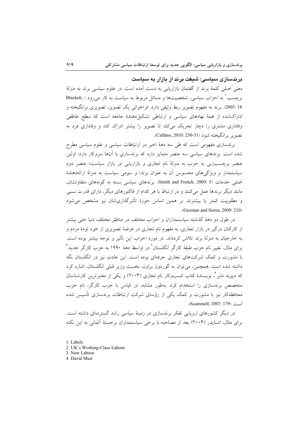بر ندسازی سیاسی؛ شیفت بر ند از پازار به سیاست

معنی اصلی کلمهٔ برند از گفتمان بازاریابی به دست آمده است. در علوم سیاسی برند به منزلهٔ برچسب ٰ به احزاب سیاسی، شخصیتها و مسائل مربوط به سیاست به کار میرود ( Blackett, 18: 2003). برند به مفهوم تصوير ربط وثيقى دارد. فراخوانى يک تصوير، تصويرى برانگيخته و اداراکشده از همهٔ نهادهای سیاسی و ارتباطی تشکیل دهندهٔ جامعه است که سطح عاطفی وفاداری مشتری را دچار تحریک میکند تا تصویر را بیشتر ادراک کند و وفاداری فرد به تصوير برانگيخته شود (Calfano, 2010: 230-31).

برندسازی مفهومی است که طی سه دههٔ اخیر در ارتباطات سیاسی و علوم سیاسی مطرح شده است. برندهای سیاسی سه عنصر متمایز دارد که برندسازی با آنها سروکار دارد: اولین عنصر برچسب زنی به حزب به منزلهٔ نام تجاری و بازاریابی در بازار سیاست؛ عنصر دوم سیاستمدار و ویژگی های محسوس آن به عنوان برند؛ و سومی سیاست به منزلهٔ ارائهدهندهٔ اصلی خدمات (Smith and French, 2009: 5). برندهای سیاسی بسته به گونههای متفاوتشان، مانند دیگر برندها عمل میکنند و در ارتباط با هر کدام از فاکتورهای دیگر، دارای قدرت نسبی و مطلوبیت کمتر یا بیشترند. بر همین اساس حوزهٔ تأثیرگذاریشان نیز مشخص می شود .(Guzman and Sierra, 2009: 210)

در طول دو دههٔ گذشته سیاستمداران و احزاب مختلف در مناطق مختلف دنیا حتی بیشتر از کارکنان درگیر در بازار تجاری، به مفهوم نام تجاری در عرضهٔ تصویری از خود تودهٔ مردم و به خارجیان به منزلهٔ برند تلاش کردهاند. در مورد احزاب این تأثیر و توجه بیشتر بوده است. برای مثال، تغییر نام حزب طبقهٔ کارگر انگلستان<sup>۲</sup> در اواسط دههٔ ۱۹۹۰ به حزب کارگر جدید<sup>۳</sup> با مشورت و کمک شرکتهای تجاری حرفهای بوده است. این عادت نیز در انگلستان نگه داشته شده است. همچنین، میتوان به گوردون براون، نخست وزیر قبلی انگلستان، اشاره کرد که دیوید مایر ٌ، نویسندهٔ کتاب کسبوکار نام تجاری (۲۰۰۴) و یکی از معتبرترین کارشناسان متخصص برندسازی را استخدام کرد. بهطور مشابه، در قیاس با حزب کارگر، نام حزب محافظهکار نیز با مشورت و کمک یکی از رؤسای شرکت ارتباطات برندسازی تأسیس شده است (Scammell, 2007: 179).

در دیگر کشورهای اروپایی تفکر برندسازی در زمینهٔ سیاسی رشد گستردهای داشته است. برای مثال، اشنایدر (۲۰۰۴) بعد از مصاحبه با برخی سیاستمداران برجستهٔ آلمانی به این نکته

- 1. Labels
- 2. UK's Working-Class Labour

3. New Labour

4. David Muir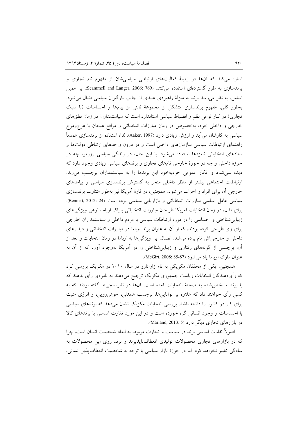اشاره می کند که آنها در زمینهٔ فعالیتهای ارتباطی سیاسی شان از مفهوم نام تجاری و برندسازی به طور گستردهای استفاده می کنند (Scammell and Langer, 2006: 769). بر همین اساس، به نظر می رسد برند به منزلهٔ راهبردی عمدی از جانب بازگیران سیاسی دنبال می شود. بهطور کلی، مفهوم برندسازی متشکل از مجموعهٔ ثابتی از پیامها و احساسات (با سبک تجاری) در کنار نوعی نظم و انضباط سیاسی استاندارد است که سیاستمداران در زمان نطقهای خارجی و داخلی خود، بهخصوص در زمان مبارزات انتخاباتی و مواقع هیجان یا هرجومرج سیاسی به کارشان می آید و ارزش زیادی دارد (Aaker, 1997). لذا، استفاده از برندسازی عمدتاً راهنمای ارتباطات سیاسی سازمانهای داخلی است و در درون واحدهای ارتباطی دولتها و ستادهای انتخاباتی نامزدها استفاده میشود. با این حال، در زندگی سیاسی روزمره چه در حوزهٔ داخلی و چه در حوزهٔ خارجی نامهای تجاری و برندهای سیاسی زیادی وجود دارد که دیده نمی شود و افکار عمومی خودبهخود این برندها را به سیاستمداران برچسب می زند. ارتباطات اجتماعی بیشتر از منظر داخلی منجر به گسترش برندسازی سیاسی و پیامدهای خارجی آن برای افراد و احزاب می شود. همچنین، در قارهٔ آمریکا نیز بهطور متناوب برندسازی سیاسی عامل اساسی مبارزات انتخاباتی و بازاریابی سیاسی بوده است (Bennett, 2012: 24). برای مثال، در زمان انتخابات آمریکا طراحان مبارزات انتخاباتی باراک اوباما، نوعی ویژگی های زیبایی شناختی و احساسی را در مورد ارتباطات سیاسی با مردم داخلی و سیاستمداران خارجی برای وی طراحی کرده بودند، که از آن به عنوان برند اوباما در مبارزات انتخاباتی و دیدارهای داخلی و خارجی|ش نام برده میشد. اتصال این ویژگیها به اوباما در زمان انتخابات و بعد از آن، برچسبی از گونههای رفتاری و زیباییشناختی را در آمریکا بهوجود آورد که از آن به عنوان مارک اوباما ياد مي شود (NcGirt, 2008: 85-87).

همچنین، یکی از محققان مکزیکی به نام زاواتارو در سال ۲۰۱۰ در مکزیک بررسی کرد که رأیدهندگان انتخابات ریاست جمهوری مکزیک ترجیح میدهند به نامزدی رأی بدهند که با برند مشخص شده به صحنهٔ انتخابات آمده است. آنها در نظرسنجیها گفته بودند که به کسی رأی خواهند داد که علاوه بر تواناییها، برچسب همدلی، خوشررویی، و انرژی مثبت برای کار در کشور را داشته باشد. بررسی انتخابات مکزیک نشان می دهد که برندهای سیاسی با احساسات و وجود انسانی گره خورده است و در این مورد تفاوت اساسی با برندهای کالا در بازارهای تجاری دیگر دارد (Marland, 2013: 5).

اصولاً تفاوت اساسی برند در سیاست و تجارت مربوط به ابعاد شخصیت انسان است، چرا که در بازارهای تجاری محصولات تولیدی انعطافناپذیرند و برند روی این محصولات به سادگی تغییر نخواهد کرد. اما در حوزهٔ بازار سیاسی با توجه به شخصیت انعطاف پذیر انسانی،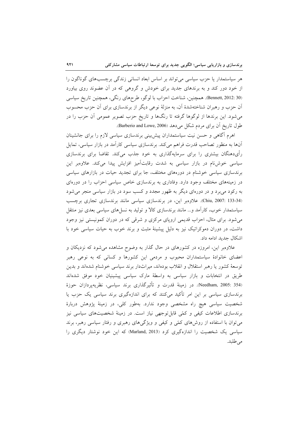هر سیاستمدار یا حزب سیاسی می تواند بر اساس ابعاد انسانی زندگی برچسبهای گوناگون را از خود دور کند و به برندهای جدید برای خودش و گروهی که در آن عضوند روی بیاورد (Bennett, 2012: 30). همچنین، شناخت احزاب با لوگو، طرحهای رنگی، همچنین تاریخ سیاسی آن حزب و رهبران شناختهشدهٔ آن، به منزلهٔ نوعی دیگر از برندسازی برای آن حزب محسوب می شود. این برندها از لوگوها گرفته تا رنگها و تاریخ حزب تصویر عمومی آن حزب را در طول تاريخ أن براي مردم شكل مي دهد (Barberio and Lowe, 2006).

اهرم آگاهی و حسن نیت سیاستمداران پیش بینی برندسازی سیاسی لازم را برای جانشینان آنها به منظور تصاحب قدرت فراهم میکند. برندسازی سیاسی کارآمد در بازار سیاسی، تمایل رأىدهنگان بيشترى را براى سرمايهگذارى به خود جذب مى كند. تقاضا براى برندسازى سیاسی خوش نام در بازار سیاسی به شدت رقابتآمیز افزایش پیدا میکند. علاوهبر این برندسازی سیاسی خوشنام در دورههای مختلف، جا برای تجدید حیات در بازارهای سیاسی در زمینههای مختلف وجود دارد. وفاداری به برندسازی خاص سیاسی احزاب را در دورهای به رکود میبرد و در دورهای دیگر به ظهور مجدد و کسب سود در بازار سیاسی منجر می شود (Chiu, 2007: 133-34). علاوهبر این، در برندسازی سیاسی مانند برندسازی تجاری برچسب سیاستمدار خوب، کارآمد و... مانند برندسازی کالا و تولید به نسلهای سیاسی بعدی نیز منتقل می شود. برای مثال، احزاب قدیمی اروپای مرکزی و شرقی که در دوران کمونیستی نیز وجود داشت، در دوران دموکراتیک نیز به دلیل پیشینهٔ مثبت و برند خوب به حیات سیاسی خود با اشكال جديد ادامه داد.

علاوهبر این، امروزه در کشورهای در حال گذار به وضوح مشاهده میشود که نزدیکان و اعضای خانوادهٔ سیاستمداران محبوب و مردمی این کشورها و کسانی که به نوعی رهبر توسعهٔ کشور یا رهبر استقلال و انقلاب بودهاند، میراثدار برند سیاسی خوشنام شدهاند و بدین طریق در انتخابات و بازار سیاسی به واسطهٔ مارک سیاسی پیشینیان خود موفق شدهاند (Needham, 2005: 354). در زمینهٔ قدرت و تأثیرگذاری برند سیاسی، نظریهپردازان حوزهٔ برندسازی سیاسی بر این امر تأکید میکنند که برای اندازهگیری برند سیاسی یک حزب یا شخصیت سیاسی هیچ راه مشخصی وجود ندارد. بهطور کلی، در زمینهٔ پژوهش دربارهٔ برندسازی اطلاعات کیفی و کمّی قابل توجهی نیاز است. در زمینهٔ شخصیتهای سیاسی نیز میتوان با استفاده از روشهای کمّی و کیفی و ویژگیهای رهبری و رفتار سیاسی رهبر، برند سیاسی یک شخصیت را اندازهگیری کرد (Marland, 2013) که این خود نوشتار دیگری را مى طلبد.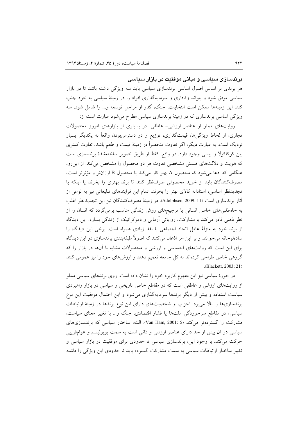برندسازی سیاسی و مبانی موفقیت در بازار سیاسی

هر برندی بر اساس اصول اساسی برندسازی سیاسی باید سه ویژگی داشته باشد تا در بازار سیاسی موفق شود و بتواند وفاداری و سرمایهگذاری افراد را در زمینهٔ سیاسی به خود جلب کند. این زمینهها ممکن است انتخابات، جنگ، گذر از مراحل توسعه و... را شامل شود. سه ویژگی اساسی برندسازی که در زمینهٔ برندسازی سیاسی مطرح می شود عبارت است از:

روایتهای مملو از عناصر ارزشی- عاطفی. در بسیاری از بازارهای امروز محصولات تجاری، از لحاظ ویژگیها، قیمتگذاری، توزیع و در دسترسبودن واقعاً به یکدیگر بسیار نزدیک است. به عبارت دیگر، اگر تفاوت منحصراً در زمینهٔ قیمت و طعم باشد، تفاوت کمتری بین کوکاکولا و پیسی وجود دارد. در واقع، فقط از طریق تصویر ساختهشدهٔ برندسازی است که هویت و دلالتهای ضمنی مشخصی تفاوت هر دو محصول را مشخص می کند. از این رو، هنگامی که ادعا میشود که محصول A بهتر کار میکند یا محصول B ارزانتر و مؤثرتر است، مصرف کنندگان باید از خرید محصولی صرف نظر کنند تا برند بهتری را بخرند یا اینکه با تجدیدنظر اساسی، استادانه کالای بهتر را بخرند. تمام این فرایندهای تبلیغاتی نیز به نوعی از أثار برندسازي است (Adolphsen, 2009: 11). در زمينهٔ مصرفکنندگان نيز اين تجديدنظر اغلب به جاهطلبیهای خاص انسانی یا ترجیحهای روش زندگی مناسب برمیگردد که انسان را از نظر ذهنی قادر می کند با مشارکت، روایاتی آرمانی و دموکراتیک از زندگی بسازد. این دیدگاه از برند خود به منزلهٔ عامل اتحاد اجتماعی با نقد زیادی همراه است. برخی این دیدگاه را سادهلوحانه می خوانند و بر این امر اذعان میکنند که اصولاً طبقهبندی برندسازی در این دیدگاه برای این است که روایتهای احساسی و ارزشی و محصولات مشابه با آنها در بازار را که گروهی خاص طراحی کردهاند به کل جامعه تعمیم دهند و ارزشهای خود را نیز عمومی کنند .(Blackett, 2003: 21)

در حوزهٔ سیاسی نیز این مفهوم کاربرد خود را نشان داده است. روی برندهای سیاسی مملو از روایتهای ارزشی و عاطفی است که در مقاطع خاص تاریخی و سیاسی در بازار راهبردی سیاست استفاده و بیش از دیگر برندها سرمایهگذاری میشود و این احتمال موفقیت این نوع برندسازیها را بالا میبرد. احزاب و شخصیتهای دارای این نوع برندها در زمینهٔ ارتباطات سیاسی، در مقاطع سرخوردگی ملتها یا فشار اقتصادی، جنگ و… با تغییر معنای سیاست، مشاركت را گستردهتر مى كند (Van Ham, 2001: 5). البته، ساختار سياسى كه برندسازى هاى سیاسی در اَن بیش از حد دارای عناصر ارزشی و ذاتی است به سمت پوپولیسم و عوامفریبی حرکت می کند. با وجود این، برندسازی سیاسی تا حدودی برای موفقیت در بازار سیاسی و تغییر ساختار ارتباطات سیاسی به سمت مشارکت گسترده باید تا حدودی این ویژگی را داشته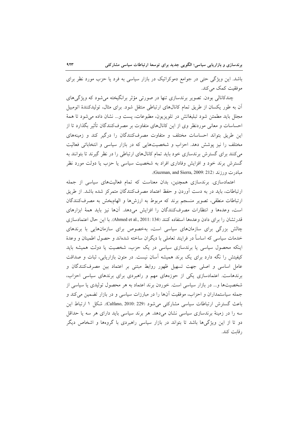باشد. این ویژگی حتی در جوامع دموکراتیک در بازار سیاسی به فرد یا حزب مورد نظر برای موفقیت کمک مے کند.

چندکانالی بودن. تصویر برندسازی تنها در صورتی مؤثر برانگیخته می شود که ویژگی های آن به طور یکسان از طریق تمام کانالهای ارتباطی منتقل شود. برای مثال، تولیدکنندهٔ اتومبیل مجلل بايد مطمئن شود تبليغاتش در تلويزيون، مطبوعات، يست و... نشان داده مي شود تا همهٔ احساسات و معانی موردنظر وی از این کانالهای متفاوت بر مصرفکنندگان تأثیر بگذارد تا از این طریق بتواند احساسات مختلف و متفاوت مصرفکنندگان را درگیر کند و زمینههای مختلف را نیز پوشش دهد. احزاب و شخصیتهایی که در بازار سیاسی و انتخاباتی فعالیت می کنند برای گسترش برندسازی خود باید تمام کانالهای ارتباطی را در نظر گیرند تا بتوانند به گسترش برند خود و افزایش وفاداری افراد به شخصیت سیاسی یا حزب یا دولت مورد نظر مبادرت ورزند (Guzman, and Sierra, 2009: 212).

اعتمادسازی. برندسازی همچنین، بدان معناست که تمام فعالیتهای سیاسی از جمله ارتباطات، باید در به دست اَوردن و حفظ اعتماد مصرفکنندگان متمرکز شده باشد. از طریق ارتباطات منطقی، تصویر منسجم برند که مربوط به ارزشها و الهامبخش به مصرفکنندگان است، وعدهها و انتظارات مصرف كنندگان را افزايش مى دهد. آنها نيز بايد همهٔ ابزارهاى قدرتشان را برای دادن وعدهها استفاده کنند (Ahmed et al., 2011: 134). با این حال اعتمادسازی چالش بزرگی برای سازمانهای سیاسی است، بهخصوص برای سازمانهایی با برندهای خدمات سیاسی که اساساً در فرایند تعاملی با دیگران ساخته شدهاند و حصول اطمینان و وعدهٔ اینکه محصول سیاسی یا برندسازی سیاسی در یک حزب، شخصیت یا دولت همیشه باید کیفیتش را نگه دارد برای یک برند همیشه آسان نیست. در متون بازاریابی، ثبات و صداقت عامل اساسی و اصلی جهت تسهیل ظهور روابط مبتنی بر اعتماد بین مصرفکنندگان و برندهاست. اعتمادسازی یکی از حوزههای مهم و راهبردی برای برندهای سیاسی احزاب، شخصیتها و... در بازار سیاسی است. خوردن برند اعتماد به هر محصول تولیدی یا سیاسی از جمله سیاستمداران و احزاب، موفقیت آنها را در مبارزات سیاسی و در بازار تضمین می کند و باعث گسترش ارتباطات سیاسی مشارکتی می شود (Calfano, 2010: 229). شکل ۱ ارتباط این سه را در زمینهٔ برندسازی سیاسی نشان میدهد. هر برند سیاسی باید دارای هر سه یا حداقل دو تا از این ویژگیها باشد تا بتواند در بازار سیاسی راهبردی با گروهها و اشخاص دیگر رقابت كند.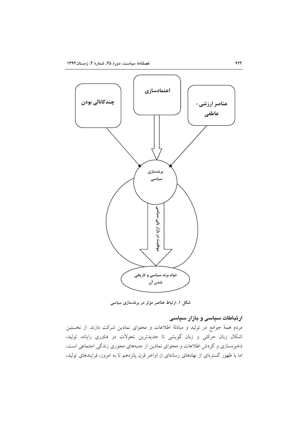

شکل ۱. ارتباط عناصر مؤثر در برندسازی سیاسی

# ارتباطات سیاسی و بازار سیاسی

مردم همهٔ جوامع در تولید و مبادلهٔ اطلاعات و محتوای نمادین شرکت دارند. از نخستین اشکال زبان حرکتی و زبان گویشی تا جدیدترین تحولات در فناوری رایانه، تولید، ذخیرهسازی و گردش اطلاعات و محتوای نمادین از جنبههای محوری زندگی اجتماعی است، اما با ظهور گسترمای از نهادهای رسانهای از اواخر قرن پانزدهم تا به امروز، فرایندهای تولید،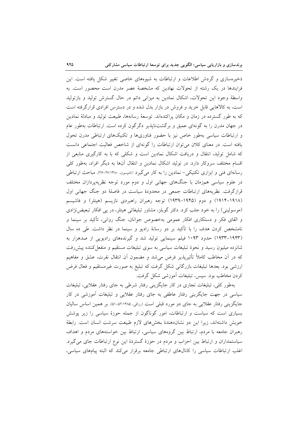ذخیرهسازی و گردش اطلاعات و ارتباطات به شیوههای خاصی تغییر شکل یافته است. این فرایندها در یک رشته از تحولات نهادین که مشخصهٔ عصر مدرن است محصور است. به واسطهٔ وجود این تحولات، اشکال نمادین به میزانی دائم در حال گسترش تولید و بازتولید است، به کالاهایی قابل خرید و فروش در بازار بدل شده و در دسترس افرادی قرارگرفته است که به طور گسترده در زمان و مکان پراکندهاند. توسعهٔ رسانهها، طبیعت تولید و مبادلهٔ نمادین در جهان مدرن را به گونهای عمیق و برگشتناپذیر دگرگون کرده است. ارتباطات بهطور عام و ارتباطات سیاسی بهطور خاص نیز با حضور فناوریها و تکنیکهای ارتباطی مدرن تحول یافته است. در معنای کلان می توان ارتباطات را گونهای از شاخص فعالیت اجتماعی دانست که شامل تولید، انتقال و دریافت اشکال نمادین است و شکلی که با به کارگیری منابعی از اقسام مختلف سروكار دارد. در توليد اشكال نمادين و انتقال آنها به ديگر افراد، بهطور كلي رسانهای فنی و ابزاری تکنیکی– نمادین را به کار می گیرد (تامپسون ۲۷:۱۳۸۰-۲۶). مباحث ارتباطی در علوم سیاسی همزمان با جنگهای جهانی اول و دوم مورد توجه نظریهپردازان مختلف قرارگرفت. نظریههای ارتباطات جمعی در محدودهٔ سیاست در فاصلهٔ دو جنگ جهانی اول (۱۹۱۸–۱۹۱۴) و دوم (۱۹۴۵–۱۹۳۹) توجه رهبران راهبردی نازیسم (هیتلر) و فاشیسم (موسولینی) را به خود جلب کرد. دکتر گوبلز، مشاور تبلیغاتی هیتلر، در پی افکار تبعیض نژادی و القای فکر و دستکاری افکار عمومی بهخصوص جوانان، جنگ روانی، تأکید بر سینما و نامشخص کردن هدف را با تأکید بر دو رسانهٔ رادیو و سینما در نظر داشت. طی ده سال (۱۹۴۳–۱۹۳۳) حدود ۱۰۹۳ فیلم سینمایی تولید شد و گیرندههای رادیویی از صدهزار به شانزده میلیون رسید و نحوهٔ تبلیغات سیاسی به سوی تبلیغات مستقیم و منفعل کننده پیش رفت که در آن مخاطب کاملاً تأثیرپذیر فرض میشد و مضمون آن انتقال نفرت، عشق و مفاهیم ارزشی بود. بعدها تبلیغات بازرگانی شکل گرفت که تبلیغ به صورت غیرمستقیم و فعال فرض كردن مخاطب بود. سيس، تبليغات آموزشي شكل گرفت.

بهطور کلی، تبلیغات تجاری در کار جایگزینی رفتار شرطی به جای رفتار عقلایی، تبلیغات سیاسی در جهت جایگزینی رفتار عاطفی به جای رفتار عقلایی و تبلیغات آموزشی در کار جايگزيني رفتار عقلايي به جاي دو مورد قبلي است (رزاقي، ۵۲:۱۳۸۵-۵۱). بر همين اساس ساليان بسیاری است که سیاست و ارتباطات، امور گوناگون از جمله حوزهٔ سیاسی را زیر پوشش خويش داشتهاند، زيرا اين دو نشاندهندهٔ بخشهاى لازم طبيعت سرشت انسان است. رابطهٔ رهبران جامعه با مردم، ارتباط بین گروههای سیاسی، ارتباط بین خواستههای مردم و اهداف سیاستمداران و ارتباط بین احزاب و مردم در حوزهٔ گستردهٔ این نوع ارتباطات جای میگیرد. اغلب ارتباطات سیاسی را کانال های ارتباطی جامعه برقرار میکند که البته پیامهای سیاسی،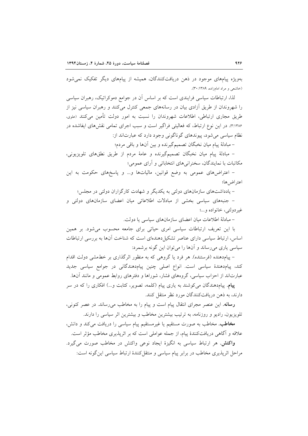بهویژه پیامهای موجود در ذهن دریافتکنندگان، همیشه از پیامهای دیگر تفکیک نمی شود (خاشعی و مراد امامزاده، ۱۳۸۹: ۳۰).

لذا، ارتباطات سیاسی فرایندی است که بر اساس آن در جوامع دموکراتیک، رهبران سیاسی را شهروندان از طریق آزادی بیان در رسانههای جمعی کنترل میکنند و رهبران سیاسی نیز از طریق مجاری ارتباطی، اطلاعات شهروندان را نسبت به امور دولت تأمین میکنند (علوی، ۳:۱۳۸۶). در این نوع ارتباط، که فعالیتی فراگیر است و سبب اجرای تمامی نقشهای ایفاشده در نظام سیاسی می شود، پیوندهای گوناگونی وجود دارد که عبارتاند از:

– مبادلهٔ پیام میان نخبگان تصمیمگیرنده و بین آنها و باقی مردم؛

– مبادلهٔ پیام میان نخبگان تصمیمگیرنده و عامهٔ مردم از طریق نطقهای تلویزیونی، مکاتبات با نمایندگان، سخنرانیهای انتخاباتی و آرای عمومی؛

– اعتراضهای عمومی به وضع قوانین، مالیاتها و... و پاسخهای حکومت به این اعتراض ها؛

– یادداشتهای سازمانهای دولتی به یکدیگر و شهادت کارگزاران دولتی در مجلس؛

- جنبههای سیاسی بخشی از مبادلات اطلاعاتی میان اعضای سازمانهای دولتی و غير دولتي، خانواده و...؛

– مبادلة اطلاعات ميان اعضاى سازمانهاى سياسى يا دولت.

با این تعریف ارتباطات سیاسی امری حیاتی برای جامعه محسوب می شود. بر همین اساس، ارتباط سیاسی دارای عناصر تشکیل دهندهای است که شناخت آنها به بررسی ارتباطات سیاسی پاری می رساند و آنها را می توان این گونه برشمرد:

– پیامدهنده (فرستنده). هر فرد یا گروهی که به منظور اثرگذاری بر خطهشی دولت اقدام کند، پیامدهندهٔ سیاسی است. انواع اصلی چنین پیامدهندگانی در جوامع سیاسی جدید عبارتاند از احزاب سیاسی، گروههای فشار، شوراها و دفترهای روابط عمومی و مانند آنها.

**پیام**. پیامدهندگان میکوشند به یاری پیام (کلمه، تصویر، کتابت و…) افکاری را که در سر دارند، به ذهن دریافتکنندگان مورد نظر منتقل کنند.

**رسانه**. این عنصر مجرای انتقال پیام است و پیام را به مخاطب میرساند. در عصر کنونی، تلویزیون، رادیو و روزنامه، به ترتیب بیشترین مخاطب و بیشترین اثر سیاسی را دارند.

مخاطب. مخاطب به صورت مستقیم یا غیرمستقیم پیام سیاسی را دریافت می کند و دانش، علاقه و آگاهی دریافتکنندهٔ پیام، از جمله عواملی است که بر اثریذیری مخاطب مؤثر است.

**واکنش**. هر ارتباط سیاسی به انگیزهٔ ایجاد نوعی واکنش در مخاطب صورت میگیرد. مراحل اثرپذیری مخاطب در برابر پیام سیاسی و منتقل کنندهٔ ارتباط سیاسی این گونه است: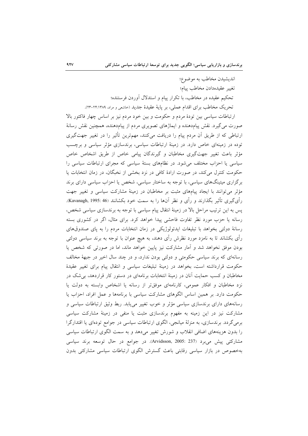انديشيدن مخاطب به موضوع؛ تغيير عقيدهدادن مخاطب ييام؛ تحکیم عقیده در مخاطب، با تکرار پیام و استدلال آوردن فرستنده؛ تحريک مخاطب براي اقدام عملي، بر پايهٔ عقيدهٔ جديد (حاشعي و مراد، ١٣٨٩-٢٣).

ارتباطات سیاسی بین تودهٔ مردم و حکومت و بین خود مردم نیز بر اساس چهار فاکتور بالا صورت می گیرد. نقش پیامدهنده و ایماژهای تصویری مردم از پیامدهنده، همچنین نقش رسانهٔ ارتباطی که از طریق آن مردم پیام را دریافت میکنند، مهمترین تأثیر را در تغییر جهتگیری توده در زمینهای خاص دارد. در زمینهٔ ارتباطات سیاسی، برندسازی مؤثر سیاسی و برچسب مؤثر باعث تغییر جهتگیری مخاطبان و گیرندگان پیامی خاص از طریق اشخاص خاص سیاسی یا احزاب مختلف می شود. در نظامهای بستهٔ سیاسی که مجرای ارتباطات سیاسی را حکومت کنترل میکند، در صورت ارادهٔ کافی در نزد بخشی از نخبگان، در زمان انتخابات یا برگزاری میتینگهای سیاسی، با توجه به ساختار سیاسی، شخص یا احزاب سیاسی دارای برند مؤثر می توانند با ایجاد پیامهای مثبت بر مخاطبان در زمینهٔ مشارکت سیاسی و تغییر جهت رأىگيرى تأثير بگذارند و رأى و نظر آنها را به سمت خود بكشانند (Kavanagh, 1995: 46). پس به این ترتیب مراحل بالا در زمینهٔ انتقال پیام سیاسی با توجه به برندسازی سیاسی شخص، رسانه یا حزب مورد نظر تفاوت فاحشی پیدا خواهد کرد. برای مثال، اگر در کشوری بسته رسانهٔ دولتی بخواهد با تبلیغات ایدئولوژیکی در زمان انتخابات مردم را به پای صندوقهای رأی بکشاند تا به نامزد مورد نظرش رأی دهند، به هیچ عنوان با توجه به برند سیاسی دولتی بودن موفق نخواهد شد و آمار مشاركت نيز پايين خواهد ماند، اما در صورتي كه شخص يا رسانهای که برند سیاسی حکومتی و دولتی بودن ندارد، و در چند سال اخیر در جبههٔ مخالف حکومت قرارداشته است، بخواهد در زمینهٔ تبلیغات سیاسی و انتقال پیام برای تغییر عقیدهٔ مخاطبان و کسب حمایت آنان در زمینهٔ انتخابات برنامهای در دستور کار قراردهد، بی شک در نزد مخاطبان و افكار عمومى، كارنامهاى موفقتر از رسانه يا اشخاص وابسته به دولت يا حکومت دارد. بر همین اساس الگوهای مشارکت سیاسی با برنامهها و عمل افراد، احزاب یا رسانههای دارای برندسازی سیاسی مؤثر و خوب تغییر می پابد. ربط وثیق ارتباطات سیاسی و مشارکت نیز در این زمینه به مفهوم برندسازی مثبت یا منفی در زمینهٔ مشارکت سیاسی برمیگردد. برندسازی، به منزلهٔ میانجی، الگوی ارتباطات سیاسی در جوامع تودهای یا اقتدارگرا را بدون هزینههای اضافی انقلاب و شورش تغییر میدهد و به سمت الگوی ارتباطات سیاسی مشاركتى پيش مىبرد (Arvidsson, 2005: 237). در جوامع در حال توسعه برند سياسى بهخصوص در بازار سیاسی رقابتی باعث گسترش الگوی ارتباطات سیاسی مشارکتی بدون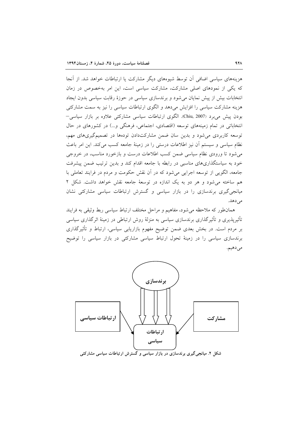هزینههای سیاسی اضافی آن توسط شیوههای دیگر مشارکت یا ارتباطات خواهد شد. از آنجا که یکی از نمودهای اصلی مشارکت، مشارکت سیاسی است، این امر بهخصوص در زمان انتخابات بیش از پیش نمایان می شود و برندسازی سیاسی در حوزهٔ رقابت سیاسی بدون ایجاد هزینه مشارکت سیاسی را افزایش میدهد و الگوی ارتباطات سیاسی را نیز به سمت مشارکتی بودن پیش می برد (Chiu, 2007). الگوی ارتباطات سیاسی مشارکتی علاوه بر بازار سیاسی– انتخاباتی در تمام زمینههای توسعه (اقتصادی، اجتماعی، فرهنگی و...) در کشورهای در حال توسعه کاربردی می شود و بدین سان ضمن مشارکتدادن تودهها در تصمیم گیری های مهم، نظام سیاسی و سیستم آن نیز اطلاعات درستی را در زمینهٔ جامعه کسب می کند. این امر باعث می شود تا ورودی نظام سیاسی ضمن کسب اطلاعات درست و بازخورد مناسب، در خروجی خود به سیاستگذاریهای مناسبی در رابطه با جامعه اقدام کند و بدین ترتیب ضمن پیشرفت جامعه، الگویی از توسعه اجرایی می شود که در آن نقش حکومت و مردم در فرایند تعاملی با هم ساخته می شود و هر دو به یک اندازه در توسعهٔ جامعه نقش خواهد داشت. شکل ۲ میانجی گیری برندسازی را در بازار سیاسی و گسترش ارتباطات سیاسی مشارکتی نشان مى دهد.

همانطور که ملاحظه می شود، مفاهیم و مراحل مختلف ارتباط سیاسی ربط وثیقی به فرایند تأثیرپذیری و تأثیرگذاری برندسازی سیاسی به منزلهٔ روش ارتباطی در زمینهٔ اثرگذاری سیاسی بر مردم است. در بخش بعدی ضمن توضیح مفهوم بازاریابی سیاسی، ارتباط و تأثیرگذاری برندسازی سیاسی را در زمینهٔ تحول ارتباط سیاسی مشارکتی در بازار سیاسی را توضیح مى دهيم.

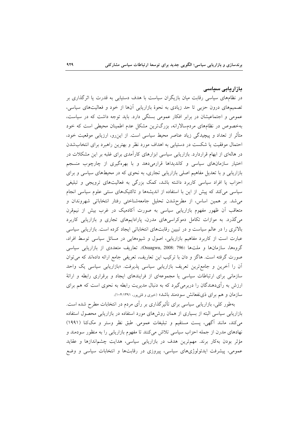# تازاریایی سیاسی

در نظامهای سیاسی رقابت میان بازیگران سیاست با هدف دستیابی به قدرت یا اثرگذاری بر تصمیمهای درون حزبی تا حد زیادی به نحوهٔ بازاریابی آنها از خود و فعالیتهای سیاسی، عمومی و اجتماعیشان در برابر افکار عمومی بستگی دارد. باید توجه داشت که در سیاست، بهخصوص در نظامهای مردمسالارانه، بزرگترین مشکل عدم اطمینان محیطی است که خود متأثر از تعداد و پیچیدگی زیاد عناصر محیط سیاسی است. از این٫و، ارزیابی موقعیت خود، احتمال موفقیت یا شکست در دستیابی به اهداف مورد نظر و بهترین راهبرد برای انتخابشدن در هالهای از ابهام قراردارد. بازاریابی سیاسی ابزارهای کارآمدی برای غلبه بر این مشکلات در اختیار سازمانهای سیاسی و کاندیداها قرارمی دهد و با بهرهگیری از چارچوب منسجم بازاریابی و با تعدیل مفاهیم اصلی بازاریابی تجاری، به نحوی که در محیطهای سیاسی و برای احزاب یا افراد سیاسی کاربرد داشته باشد، کمک بزرگی به فعالیتهای ترویجی و تبلیغی سیاسی می کند که پیش از این با استفاده از اندیشهها و تاکتیکهای سنتی علوم سیاسی انجام می شد. بر همین اساس، از مطرحشدن تحلیل جامعهشناختی رفتار انتخاباتی شهروندان و متعاقب آن ظهور مفهوم بازاریابی سیاسی به صورت آکادمیک در غرب بیش از نیمقرن میگذرد. به موازات تکامل دموکراسیهای مدرن، پارادایمهای تجاری و بازاریابی کاربرد بالاتری را در عالم سیاست و در تبیین رقابتهای انتخاباتی ایجاد کرده است. بازاریابی سیاسی عبارت است از کاربرد مفاهیم بازاریابی، اصول و شیوههایی در مسائل سیاسی توسط افراد، گروهها، سازمانها و ملتها (796 :088x0 و Osuagwu, 2008). تعاريف متعددي از بازاريابي سياسي صورت گرفته است. هاگز و دان با ترکیب این تعاریف، تعریفی جامع ارائه دادهاند که می توان اّن را اَخرین و جامعترین تعریف بازاریابی سیاسی پذیرفت. «بازاریابی سیاسی یک واحد سازمانی برای ارتباطات سیاسی یا مجموعهای از فرایندهای ایجاد و برقراری رابطه و ارائهٔ ارزش به رأیدهندگان را دربرمیگیرد که به دنبال مدیریت رابطه به نحوی است که هم برای سازمان و هم برای ذی نفعانش سودمند باشد» (خیری و قلیپور، ۱۳۹۱:۱۳۹۱).

بهطور کلی، بازاریابی سیاسی برای تأثیرگذاری بر رأی مردم در انتخابات مطرح شده است. بازاریابی سیاسی البته از بسیاری از همان روشهای مورد استفاده در بازاریابی محصول استفاده می کند، مانند آگهی، پست مستقیم و تبلیغات عمومی. طبق نظر وستر و مککنا (۱۹۹۱) نهادهای مدرن از جمله احزاب سیاسی تلاش میکنند تا مفهوم بازاریابی را به منظور سودمند و مؤثر بودن بهکار برند. مهمترین هدف در بازاریابی سیاسی، هدایت چشماندازها و عقاید عمومی، پیشرفت ایدئولوژیهای سیاسی، پیروزی در رقابتها و انتخابات سیاسی و وضع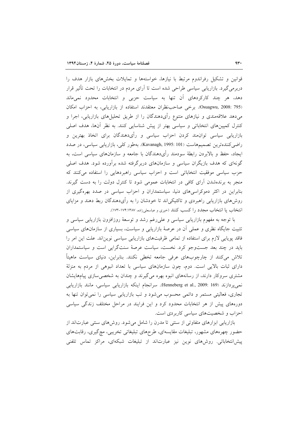قوانین و تشکیل رفراندوم مرتبط با نیازها، خواستهها و تمایلات بخشهای بازار هدف را دربرمیگیرد. بازاریابی سیاسی طراحی شده است تا آرای مردم در انتخابات را تحت تأثیر قرار دهد، هر چند کارکردهای أن تنها به سیاست حزبی و انتخابات محدود نمی،ماند Osuagwu, 2008: 795). برخى صاحب نظران معتقدند استفاده از بازاريابي، به احزاب امكان می،دهد علاقهمندی و نیازهای متنوع رأیدهندگان را از طریق تحلیلهای بازاریابی، اجرا و کنترل کمپینهای انتخاباتی و سیاسی بهتر از پیش شناسایی کنند. به نظر آنها، هدف اصلی بازاریابی سیاسی توان،مند کردن احزاب سیاسی و رأیدهندگان برای اتخاذ بهترین و راضی کنندهترین تصمیمهاست (Kavanagh, 1995: 101). بهطور کلی، بازاریابی سیاسی، در صدد ایجاد، حفظ و بالابردن رابطهٔ سودمند رأیدهندگان با جامعه و سازمانهای سیاسی است، به گونهای که هدف بازیگران سیاسی و سازمانهای دربرگرفته شده برآورده شود. هدف اصلی حزب سیاسی موفقیت انتخاباتی است و احزاب سیاسی راهبردهایی را استفاده می کنند که منجر به برندهشدن أراى كافى در انتخابات عمومى شود تا كنترل دولت را به دست گيرند. بنابراین در اکثر دموکراسیهای دنیا، سیاستمداران و احزاب سیاسی در صدد بهرهگیری از روشهای بازاریابی راهبردی و تاکتیکی|ند تا خودشان را به رأیدهندگان ربط دهند و مزایای انتخاب یا انتخاب مجدد را کسب کنند (خیری و عباسعلیزاده، ۱۷۴:۱۷۴-۱۷۳).

با توجه به مفهوم بازاریابی سیاسی و علی(غم رشد و توسعهٔ روزافزون بازاریابی سیاسی و تثبیت جایگاه نظری و عملی آن در عرصهٔ بازاریابی و سیاست، بسیاری از سازمانهای سیاسی فاقد پویایی لازم برای استفاده از تمامی ظرفیتهای بازاریابی سیاسی نوین|ند. علت این امر را باید در چند بعد جستوجو کرد. نخست، سیاست عرصهٔ سنتگرایی است و سیاستمداران تلاش میکنند از چارچوبهای عرفی جامعه تخطی نکنند. بنابراین، دنیای سیاست ماهیتاً دارای ثبات بالایی است. دوم، چون سازمانهای سیاسی با تعداد انبوهی از مردم به منزلهٔ مشتری سروکار دارند، از رسانههای انبوه بهره میگیرند و چندان به شخصی سازی پیامهایشان نمی پردازند (Henneberg et al., 2009: 169). سرانجام اینکه بازاریابی سیاسی، مانند بازاریابی تجاری، فعالیتی مستمر و دائمی محسوب میشود و تب بازاریابی سیاسی را نمیٍتوان تنها به دورههای پیش از هر انتخابات محدود کرد و این فرایند در مراحل مختلف زندگی سیاسی احزاب و شخصیتهای سیاسی کاربردی است.

بازاریابی ابزارهای متفاوتی از سنتی تا مدرن را شامل میشود. روش های سنتی عبارت اند از حضور چهرههای مشهور، تبلیغات مقایسهای، طرحهای تبلیغاتی تخریبی، مچگیری، رقابتهای پیش|نتخاباتی. روشهای نوین نیز عبارت|ند از تبلیغات شبکهای، مراکز تماس تلفنی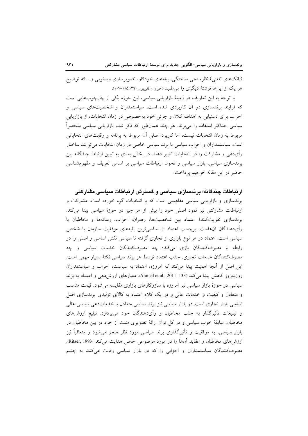(بانکهای تلفنی) نظرسنجی ساختگی، پیامهای خودکار، تصویرسازی ویدئویی و… که توضیح هر یک از اینها نوشتهٔ دیگری را می طلبد (خیری و قلی پور، ۱۳۹۱:۱۵:۱۰۷-۱۰۷).

با توجه به این تعاریف در زمینهٔ بازاریابی سیاسی، این حوزه یکی از چارچوبهایی است که فرایند برندسازی در آن کاربردی شده است. سیاستمداران و شخصیتهای سیاسی و احزاب برای دستیابی به اهداف کلان و جزئی خود بهخصوص در زمان انتخابات، از بازاریابی سیاسی حداکثر استفاده را میبرند. هر چند همانطور که ذکر شد، بازاریابی سیاسی منحصراً مربوط به زمان انتخابات نیست، اما کاربرد اصلی آن مربوط به برنامه و رقابتهای انتخاباتی است. سیاستمداران و احزاب سیاسی با برند سیاسی خاصی در زمان انتخابات می توانند ساختار رأیدهی و مشارکت را در انتخابات تغییر دهند. در بخش بعدی به تبیین ارتباط چندگانه بین برندسازی سیاسی، بازار سیاسی و تحول ارتباطات سیاسی بر اساس تعریف و مفهومشناسی حاضر در اين مقاله خواهيم پرداخت.

ارتباطات چندگانه؛ برندسازی سیاسی و گسترش ارتباطات سیاسی مشارکتی

برندسازی و بازاریابی سیاسی مفاهیمی است که با انتخابات گره خورده است. مشارکت و ارتباطات مشارکتی نیز نمود اصلی خود را بیش از هر چیز در حوزهٔ سیاسی پیدا میکند. برندسازی تقویتکنندهٔ اعتماد بین شخصیتها، رهبران، احزاب، رسانهها و مخاطبان یا رأىدهندگان آنهاست. برچسب اعتماد از اساسىترين پايههاى موفقيت سازمان يا شخص سیاسی است. اعتماد در هر نوع بازاری از تجاری گرفته تا سیاسی نقش اساسی و اصلی را در رابطه با مصرفکنندگان بازی میکند؛ چه مصرفکنندگان خدمات سیاسی و چه مصرف كنندگان خدمات تجارى. جذب اعتماد توسط هر برند سياسى نكتهٔ بسيار مهمى است. این اصل از آنجا اهمیت پیدا می کند که امروزه، اعتماد به سیاست، احزاب و سیاستمداران روزبهروز كاهش پيدا مى كند (Ahmed et al., 2011: 133). معيارهاى ارزشدهى و اعتماد به برند سیاسی در حوزهٔ بازار سیاسی نیز امروزه با سازوکارهای بازاری مقایسه میشود. قیمت مناسب و متعادل و کیفیت و خدمات عالی و در یک کلام اعتماد به کالای تولیدی برندسازی اصل اساسی بازار تجاری است. در بازار سیاسی نیز برند سیاسی متعادل با خدماتدهی سیاسی عالی و تبلیغات تأثیرگذار به جلب مخاطبان و رأیدهندگان خود میپردازد. تبلیغ ارزشهای مخاطبان، سابقهٔ خوب سیاسی و در کل توان ارائهٔ تصویری مثبت از خود در بین مخاطبان در بازار سیاسی، به موفقیت و تأثیرگذاری برند سیاسی مورد نظر منجر میشود و متعاقباً نیز ارزشهای مخاطبان و عقاید آنها را در مورد موضوعی خاص هدایت می کند (Ritzer, 1993). مصرف کنندگان سیاستمداران و احزابی را که در بازار سیاسی رقابت میکنند به چشم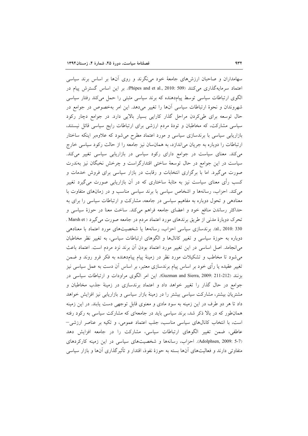سهامداران و صاحبان ارزشهای جامعهٔ خود می نگرند و روی آنها بر اساس برند سیاسی اعتماد سرمایهگذاری می کنند (Phipes and et al., 2010: 509). بر این اساس گسترش پیام در الگوی ارتباطات سیاسی توسط پیامدهنده که برند سیاسی مثبتی را حمل میکند رفتار سیاسی شهروندان و نحوهٔ ارتباطات سیاسی آنها را تغییر میدهد. این امر بهخصوص در جوامع در حال توسعه برای طی کردن مراحل گذار کارایی بسیار بالایی دارد. در جوامع دچار رکود سیاسی مشارکت، که مخاطبان و تودهٔ مردم ارزشی برای ارتباطات رایج سیاسی قائل نیستند، بازاریابی سیاسی با برندسازی سیاسی و مورد اعتماد مطرح میشود که علاوهبر اینکه ساختار ارتباطات را دوباره به جریان می اندازد، به همانسان نیز جامعه را از حالت رکود سیاسی خارج می کند. معنای سیاست در جوامع دارای رکود سیاسی در بازاریابی سیاسی تغییر می کند. سیاست در این جوامع در حال توسعهٔ ساختی اقتدارگراست و چرخش نخبگان نیز بهندرت صورت می گیرد. اما با برگزاری انتخابات و رقابت در بازار سیاسی برای فروش خدمات و کسب رأی معنای سیاست نیز به مثابهٔ ساختاری که در اَن بازاریابی صورت میگیرد تغییر می کند. احزاب، رسانهها و اشخاص سیاسی با برند سیاسی مناسب و در زمانهای متفاوت با معنادهی و تحول دوباره به مفاهیم سیاسی در جامعه، مشارکت و ارتباطات سیاسی را برای به حداکثر رساندن منافع خود و اعضای جامعه فراهم میکند. ساخت معنا در حوزهٔ سیاسی و تحرک دوبارهٔ مدنی از طریق برندهای مورد اعتماد مردم در جامعه صورت می گیرد ( Marsh et . al., 2010: 330). برندسازی سیاسی احزاب، رسانهها یا شخصیتهای مورد اعتماد با معنادهی دوباره به حوزهٔ سیاسی و تغییر کانالها و الگوهای ارتباطات سیاسی، به تغییر نظر مخاطبان می انجامد. اصل اساسی در این تغییر مورد اعتماد بودن آن برند نزد مردم است. اعتماد باعث میشود تا مخاطب و تشکیلات مورد نظر در زمینهٔ پیام پیامدهنده به فکر فرو روند و ضمن تغییر عقیده یا رأی خود بر اساس پیام برندسازی معتبر، بر اساس أن دست به عمل سیاسی نیز بزنند (212-211 :Guzman and Sierra, 2009). اين امر الكوى مراودات و ارتباطات سياسي در جوامع در حال گذار را تغییر خواهد داد و اعتماد برندسازی در زمینهٔ جذب مخاطبان و مشتریان بیشتر، مشارکت سیاسی بیشتر را در زمینهٔ بازار سیاسی و بازاریابی نیز افزایش خواهد داد تا هر دو طرف در این زمینه به سود مادی و معنوی قابل توجهی دست یابند. در این زمینه همان طور که در بالا ذکر شد، برند سیاسی باید در جامعهای که مشارکت سیاسی به رکود رفته است، با انتخاب کانالهای سیاسی مناسب، جلب اعتماد عمومی، و تکیه بر عناصر ارزشی– عاطفی، ضمن تغییر الگوهای ارتباطات سیاسی، مشارکت را در جامعه افزایش دهد (Adolphsen, 2009: 5-7). احزاب، رسانهها و شخصیتهای سیاسی در این زمینه کارکردهای متفاوتی دارند و فعالیتهای آنها بسته به حوزهٔ نفوذ، اقتدار و تأثیرگذاری آنها و بازار سیاسی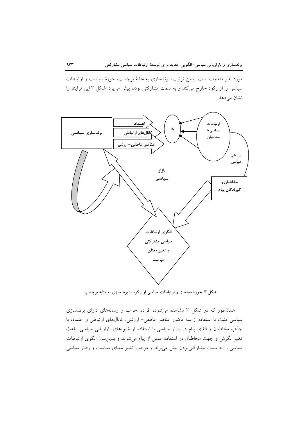مورد نظر متفاوت است. بدین ترتیب، برندسازی به مثابهٔ برچسب، حوزهٔ سیاست و ارتباطات سیاسی را از رکود خارج میکند و به سمت مشارکتی بودن پیش میبرد. شکل ۳ این فرایند را نشان م<sub>ی</sub> دهد.



شکل ۳. حوزهٔ سیاست و ارتباطات سیاسی از رکود با برندسازی به مثابهٔ برچسب

همانطور که در شکل ۳ مشاهده میشود، افراد، احزاب و رسانههای دارای برندسازی سیاسی مثبت با استفاده از سه فاکتور عناصر عاطفی- ارزشی، کانال های ارتباطی و اعتماد، با جذب مخاطبان و القای پیام در بازار سیاسی با استفاده از شیوههای بازاریابی سیاسی، باعث تغییر نگرش و جهت مخاطبان در استفادهٔ عملی از پیام میشوند و بدین سان الگوی ارتباطات سیاسی را به سمت مشارکتی بودن پیش می برند و موجب تغییر معنای سیاست و رفتار سیاسی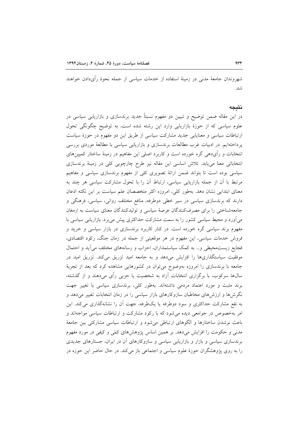شهروندان جامعهٔ مدنی در زمینهٔ استفاده از خدمات سیاسی از جمله نحوهٔ رأیدادن خواهند شد.

#### نتىحە

در این مقاله ضمن توضیح و تبیین دو مفهوم نسبتاً جدید برندسازی و بازاریابی سیاسی در علوم سیاسی که از حوزهٔ بازاریابی وارد این رشته شده است، به توضیح چگونگی تحول ارتباطات سیاسی و معنایابی جدید مشارکت سیاسی از طریق این دو مفهوم در حوزهٔ سیاست پرداختهایم. در ادبیات غرب مطالعات برندسازی و بازاریابی سیاسی با مطالعهٔ موردی بررسی انتخابات و رأىدهى گره خورده است و كاربرد اصلى اين مفاهيم در زمينهٔ ساختار كمپينهاى انتخاباتی معنا میbبابد. تلاش اساسی این مقاله نیز طرح چارچوبی کلی در زمینهٔ برندسازی سیاسی بوده است تا بتواند ضمن ارائهٔ تصویری کلی از مفهوم برندسازی سیاسی و مفاهیم مرتبط با أن از جمله بازاریابی سیاسی، ارتباط أن را با تحول مشارکت سیاسی هر چند به معنای ابتدایی نشان دهد. بهطور کلی، امروزه اکثر متخصصان علم سیاست بر این نکته اذعان دارند که برندسازی سیاسی در سیر خطی دوطرفه، منافع مختلف روانی، سیاسی، فرهنگی و جامعهشناختی را برای مصرفکنندگان عرصهٔ سیاسی و تولیدکنندگان معنای سیاست به ارمغان می آورد و محیط سیاسی کشور را به سمت مشارکت حداکثری پیش می برد. بازاریابی سیاسی با مفهوم برند سیاسی گره خورده است. در کنار کاربرد برندسازی در بازار سیاسی و خرید و فروش خدمات سیاسی، این مفهوم در هر موقعیتی از جمله در زمان جنگ، رکود اقتصادی، فجایع زیست محیطی و... به کمک سیاستمداران، احزاب و رسانههای مختلف می آید و احتمال موفقیت سیاستگذاریها را افزایش میدهد و به جامعه امید تزریق میکند. تزریق امید در جامعه با برندسازی را امروزه بهوضوح میتوان در کشورهایی مشاهده کرد که بعد از تجربهٔ سالها سرکوب، با برگزاری انتخابات آزاد به شخصیت یا حزبی رأی میدهند و از گذشته، برند مثبت و مورد اعتماد مردمی داشتهاند. بهطور کلی، برندسازی سیاسی با تغییر جهت نگرشها و ارزشهای مخاطبان سازوکارهای بازار سیاسی را در زمان انتخابات تغییر میدهد و به نفع مشارکت حداکثری و سود دوطرفه یا یکطرفه، جهت آن را نشانهگذاری میکند. این امر بهخصوص در جوامعی دیده میشود که با رکود مشارکت و ارتباطات سیاسی مواجهاند و باعث نوشدن ساختارها و الگوهای ارتباطی میشود و ارتباطات سیاسی مشارکتی بین جامعهٔ مدنی و حکومت را افزایش میدهد. بر همین اساس پژوهشهای کمّی و کیفی در مورد مفهوم برندسازی سیاسی و بازار و بازاریابی سیاسی و سازوکارهای أن در ایران، جستارهای جدیدی را به روی پژوهشگران حوزهٔ علوم سیاسی و اجتماعی باز میکند. در حال حاضر این حوزه در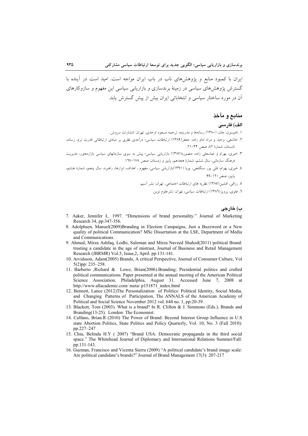ایران با کمبود منابع و پژوهشهای ناب در باب ایران مواجه است. امید است در آینده با گسترش پژوهش های سیاسی در زمینهٔ برندسازی و بازاریابی سیاسی این مفهوم و سازوکارهای آن در مورد ساختار سیاسی و انتخاباتی ایران بیش از پیش گسترش پابد.

# منابع و مآخذ

#### الف) فارسى

١. تاميسون، جان، (١٣٨٠) رسانهها و مدرنيته، ترجمه مسعود اوحدي، تهران: انتشارات سروش.

- ۲. خاشعی، وحید و مراد امام زاده، جعفر(۱۳۸۹) ارتباطات سیاسی؛ درآمدی نظری بر مبادی ارتباطاتی قدرت نرم، رسانه، تابستان، شمارة ٨٢ صص ۴۴-٢١.
- ۳. خیری، بهرام و عباسعلی زاده، منصوره(۱۳۸۷) بازاریابی سیاسی؛ پیش به سوی سازمانهای سیاسی بازارمحور، مدیریت فرهنگ سازمانی، سال ششم، شمارهٔ هجدهم، پاییز و زمستان، صص ۱۷۸–۱۳۷.
- ٤. خیری، بهرام، قلبی پور سنگلجی، پویا (١٣٩١)بازاریابی سیاسی، مفهوم ، اهداف، ابزارها، راهبرد، سال پنجم، شمارهٔ هشتم، ياييز، صص ١٢٠-٩٩.

٥. رزاقي، افشين(١٣٨٥) نظريه هاي ارتباطات اجتماعي، تهران: نشر آسيم.

٦. علوي، يرويز (١٣٨٦) ارتباطات سياسي، تهران: نشرعلوم نوين.

# ب) خارجي

- 7. Aaker, Jennifer L. 1997. "Dimensions of brand personality." Journal of Marketing Research 34, pp:347-356.
- 8. Adolphsen, Manuel(2009)Branding in Election Campaigns, Just a Buzzword or a New quality of political Communication? MSc Dissertation at the LSE, Department of Media and Communications.
- 9. Ahmed. Mirza Ashfaq. Lodhi. Suleman and Mirza Naveed Shahzd(2011) political Brand: trusting a candidate in the age of mistrust, Journal of Business and Retail Management Research (JBRMR) Vol.5, Issue, 2, April. pp:131-141.
- 10. Arvidsson, Adam(2005) Brands, A critical Perspective, Journal of Consumer Culture, Vol  $5(2)$ pp: 235-258.
- 11. Barberio ,Richard & Lowe, Brian(2006).Branding: Presidential politics and crafted political communications. Paper presented at the annual meeting of the American Political Science Association, Philadelphia, August 31. Accessed June 7, 2008 at http://www.allacademic.com/ meta/ p151871\_index.html
- 12. Bennett, Lance (2012)The Personalization of Politics: Political Identity, Social Media, and Changing Patterns of Participation, The ANNALS of the American Academy of Political and Social Science November 2012 vol. 644 no. 1, pp:20-39.
- 13. Blackett, Tom (2003). What is a brand? In R. Clifton & J. Simmons (Eds.), Brands and Branding (13-25). London: The Economist.
- 14. Calfano, Brian.R (2010) The Power of Brand: Beyond Interest Group Influence in U.S. state Abortion Politics, State Politics and Policy Quarterly, Vol. 10, No. 3 (Fall 2010): pp.227-247
- 15. Chiu, Belinda H.Y (2007) "Brand USA: Democratic propaganda in the third social space." The Whitehead Journal of Diplomacy and International Relations Summer/Fall: pp.131-143.
- 16. Guzman, Francisco and Vicenta Sierra (2009) "A political candidate's brand image scale: Are political candidate's brands?" Journal of Brand Management 17(3): 207-217